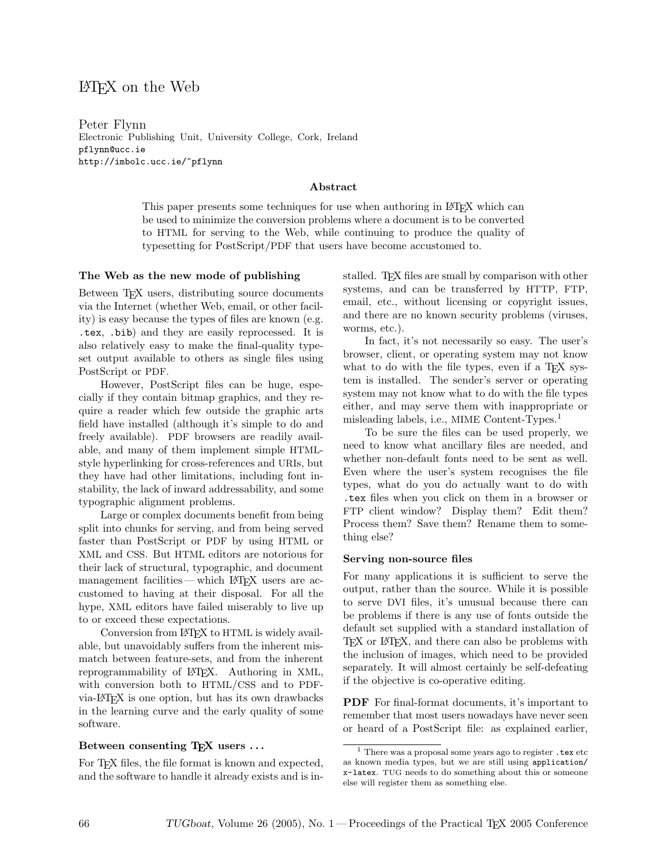# LATEX on the Web

Peter Flynn Electronic Publishing Unit, University College, Cork, Ireland pflynn@ucc.ie http://imbolc.ucc.ie/~pflynn

# Abstract

This paper presents some techniques for use when authoring in LATEX which can be used to minimize the conversion problems where a document is to be converted to HTML for serving to the Web, while continuing to produce the quality of typesetting for PostScript/PDF that users have become accustomed to.

## The Web as the new mode of publishing

Between T<sub>F</sub>X users, distributing source documents via the Internet (whether Web, email, or other facility) is easy because the types of files are known (e.g. .tex, .bib) and they are easily reprocessed. It is also relatively easy to make the final-quality typeset output available to others as single files using PostScript or PDF.

However, PostScript files can be huge, especially if they contain bitmap graphics, and they require a reader which few outside the graphic arts field have installed (although it's simple to do and freely available). PDF browsers are readily available, and many of them implement simple HTMLstyle hyperlinking for cross-references and URIs, but they have had other limitations, including font instability, the lack of inward addressability, and some typographic alignment problems.

Large or complex documents benefit from being split into chunks for serving, and from being served faster than PostScript or PDF by using HTML or XML and CSS. But HTML editors are notorious for their lack of structural, typographic, and document management facilities — which LAT<sub>EX</sub> users are accustomed to having at their disposal. For all the hype, XML editors have failed miserably to live up to or exceed these expectations.

Conversion from LAT<sub>EX</sub> to HTML is widely available, but unavoidably suffers from the inherent mismatch between feature-sets, and from the inherent reprogrammability of LATEX. Authoring in XML, with conversion both to HTML/CSS and to PDFvia-LATEX is one option, but has its own drawbacks in the learning curve and the early quality of some software.

#### Between consenting T<sub>F</sub>X users ...

For T<sub>E</sub>X files, the file format is known and expected, and the software to handle it already exists and is installed. T<sub>EX</sub> files are small by comparison with other systems, and can be transferred by HTTP, FTP, email, etc., without licensing or copyright issues, and there are no known security problems (viruses, worms, etc.).

In fact, it's not necessarily so easy. The user's browser, client, or operating system may not know what to do with the file types, even if a T<sub>EX</sub> system is installed. The sender's server or operating system may not know what to do with the file types either, and may serve them with inappropriate or misleading labels, i.e., MIME Content-Types.<sup>1</sup>

To be sure the files can be used properly, we need to know what ancillary files are needed, and whether non-default fonts need to be sent as well. Even where the user's system recognises the file types, what do you do actually want to do with .tex files when you click on them in a browser or FTP client window? Display them? Edit them? Process them? Save them? Rename them to something else?

## Serving non-source files

For many applications it is sufficient to serve the output, rather than the source. While it is possible to serve DVI files, it's unusual because there can be problems if there is any use of fonts outside the default set supplied with a standard installation of T<sub>EX</sub> or L<sup>AT</sup>EX, and there can also be problems with the inclusion of images, which need to be provided separately. It will almost certainly be self-defeating if the objective is co-operative editing.

**PDF** For final-format documents, it's important to remember that most users nowadays have never seen or heard of a PostScript file: as explained earlier,

 $^{\rm 1}$  There was a proposal some years ago to register  $.\mathtt{tex}$ as known media types, but we are still using application/ x-latex. TUG needs to do something about this or someone else will register them as something else.